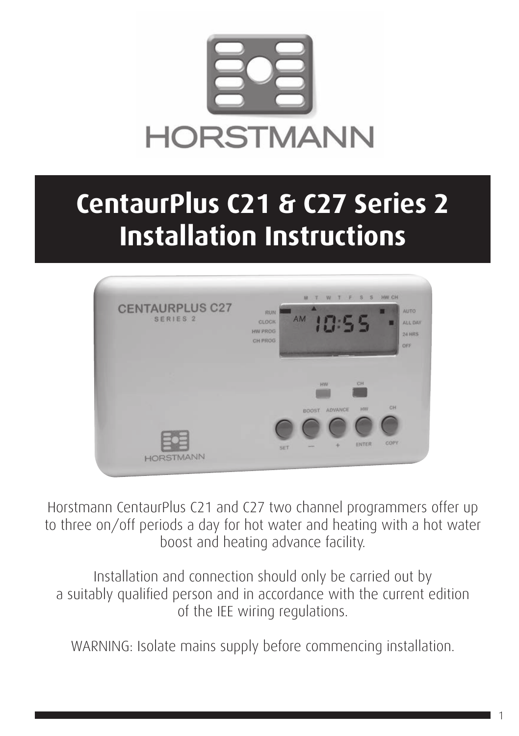

# **CentaurPlus C21 & C27 Series 2 Installation Instructions**



Horstmann CentaurPlus C21 and C27 two channel programmers offer up to three on/off periods a day for hot water and heating with a hot water boost and heating advance facility.

Installation and connection should only be carried out by a suitably qualified person and in accordance with the current edition of the IEE wiring regulations.

WARNING: Isolate mains supply before commencing installation.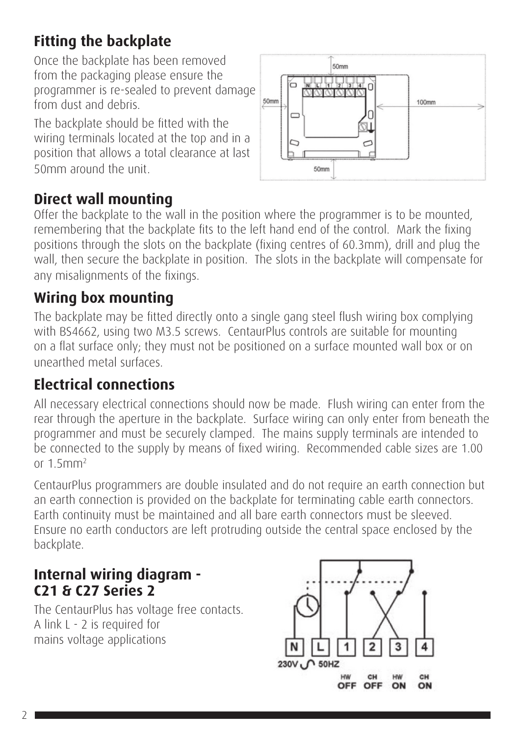# **Fitting the backplate**

Once the backplate has been removed from the packaging please ensure the programmer is re-sealed to prevent damage from dust and debris.

The backplate should be fitted with the wiring terminals located at the top and in a position that allows a total clearance at last 50mm around the unit.



# **Direct wall mounting**

Offer the backplate to the wall in the position where the programmer is to be mounted, remembering that the backplate fits to the left hand end of the control. Mark the fixing positions through the slots on the backplate (fixing centres of 60.3mm), drill and plug the wall, then secure the backplate in position. The slots in the backplate will compensate for any misalignments of the fixings.

## **Wiring box mounting**

The backplate may be fitted directly onto a single gang steel flush wiring box complying with BS4662, using two M3.5 screws. CentaurPlus controls are suitable for mounting on a flat surface only; they must not be positioned on a surface mounted wall box or on unearthed metal surfaces.

# **Electrical connections**

All necessary electrical connections should now be made. Flush wiring can enter from the rear through the aperture in the backplate. Surface wiring can only enter from beneath the programmer and must be securely clamped. The mains supply terminals are intended to be connected to the supply by means of fixed wiring. Recommended cable sizes are 1.00 or 1.5mm2

CentaurPlus programmers are double insulated and do not require an earth connection but an earth connection is provided on the backplate for terminating cable earth connectors. Earth continuity must be maintained and all bare earth connectors must be sleeved. Ensure no earth conductors are left protruding outside the central space enclosed by the backplate.

## **Internal wiring diagram - C21 & C27 Series 2**

The CentaurPlus has voltage free contacts. A link L - 2 is required for mains voltage applications

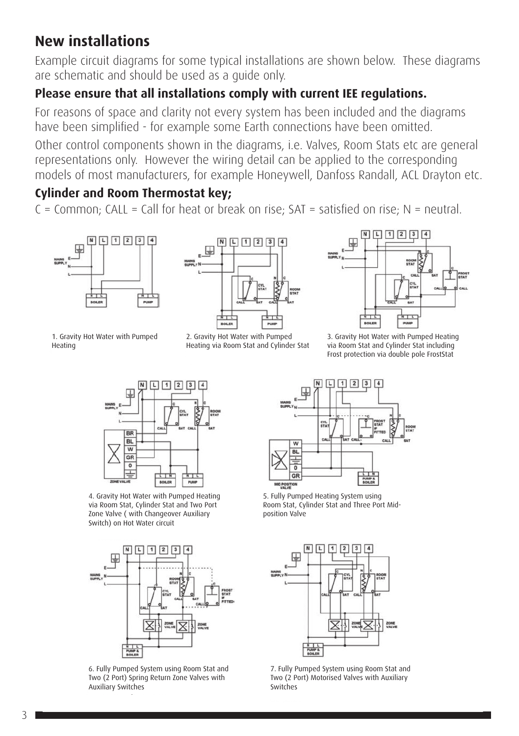## **New installations**

Example circuit diagrams for some typical installations are shown below. These diagrams are schematic and should be used as a guide only.

#### **Please ensure that all installations comply with current IEE regulations.**

For reasons of space and clarity not every system has been included and the diagrams have been simplified - for example some Earth connections have been omitted.

Other control components shown in the diagrams, i.e. Valves, Room Stats etc are general representations only. However the wiring detail can be applied to the corresponding models of most manufacturers, for example Honeywell, Danfoss Randall, ACL Drayton etc.

#### **Cylinder and Room Thermostat key;**

 $C =$  Common: CALL = Call for heat or break on rise: SAT = satisfied on rise: N = neutral.





1. Gravity Hot Water with Pumped Heating

2. Gravity Hot Water with Pumped Heating via Room Stat and Cylinder Stat



3. Gravity Hot Water with Pumped Heating via Room Stat and Cylinder Stat including Frost protection via double pole FrostStat



4. Gravity Hot Water with Pumped Heating via Room Stat, Cylinder Stat and Two Port Zone Valve ( with Changeover Auxiliary Switch) on Hot Water circuit



6. Fully Pumped System using Room Stat and Two (2 Port) Spring Return Zone Valves with Auxiliary Switches



5. Fully Pumped Heating System using Room Stat, Cylinder Stat and Three Port Midposition Valve



7. Fully Pumped System using Room Stat and Two (2 Port) Motorised Valves with Auxiliary Switches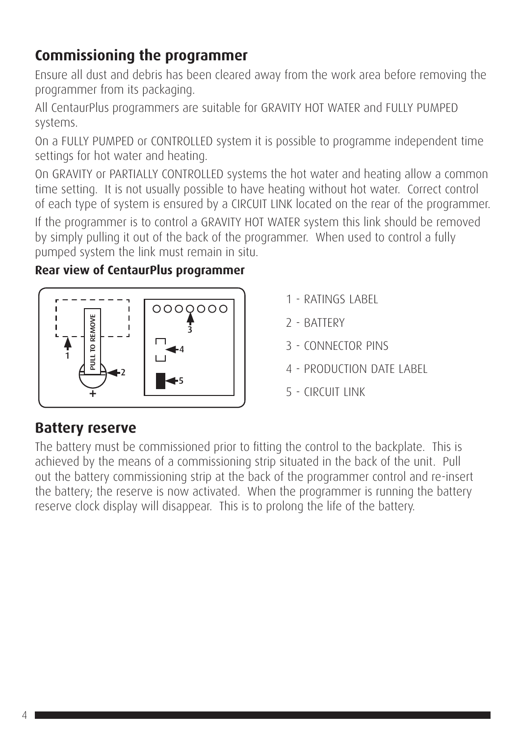# **Commissioning the programmer**

Ensure all dust and debris has been cleared away from the work area before removing the programmer from its packaging.

All CentaurPlus programmers are suitable for GRAVITY HOT WATER and FULLY PUMPED systems.

On a FULLY PUMPED or CONTROLLED system it is possible to programme independent time settings for hot water and heating.

On GRAVITY or PARTIALLY CONTROLLED systems the hot water and heating allow a common time setting. It is not usually possible to have heating without hot water. Correct control of each type of system is ensured by a CIRCUIT LINK located on the rear of the programmer. If the programmer is to control a GRAVITY HOT WATER system this link should be removed by simply pulling it out of the back of the programmer. When used to control a fully pumped system the link must remain in situ.

#### **Rear view of CentaurPlus programmer**



- 1 RATINGS LABEL
- 2 BATTERY
- 3 CONNECTOR PINS
- 4 PRODUCTION DATE LABEL
- 5 CIRCUIT LINK

## **Battery reserve**

The battery must be commissioned prior to fitting the control to the backplate. This is achieved by the means of a commissioning strip situated in the back of the unit. Pull out the battery commissioning strip at the back of the programmer control and re-insert the battery; the reserve is now activated. When the programmer is running the battery reserve clock display will disappear. This is to prolong the life of the battery.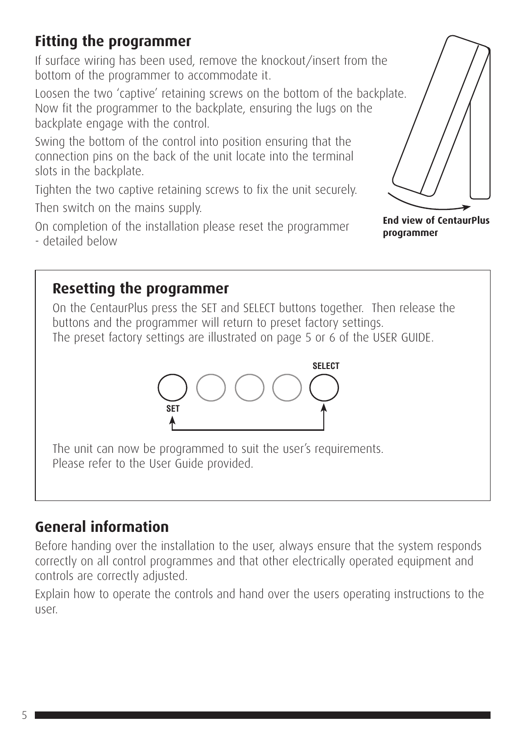# **Fitting the programmer**

If surface wiring has been used, remove the knockout/insert from the bottom of the programmer to accommodate it.

Loosen the two 'captive' retaining screws on the bottom of the backplate. Now fit the programmer to the backplate, ensuring the lugs on the backplate engage with the control.

Swing the bottom of the control into position ensuring that the connection pins on the back of the unit locate into the terminal slots in the backplate.

Tighten the two captive retaining screws to fix the unit securely. Then switch on the mains supply.

On completion of the installation please reset the programmer - detailed below



**End view of CentaurPlus programmer**

## **Resetting the programmer**

On the CentaurPlus press the SET and SELECT buttons together. Then release the buttons and the programmer will return to preset factory settings. The preset factory settings are illustrated on page 5 or 6 of the USER GUIDE.



The unit can now be programmed to suit the user's requirements. Please refer to the User Guide provided.

## **General information**

Before handing over the installation to the user, always ensure that the system responds correctly on all control programmes and that other electrically operated equipment and controls are correctly adjusted.

Explain how to operate the controls and hand over the users operating instructions to the user.